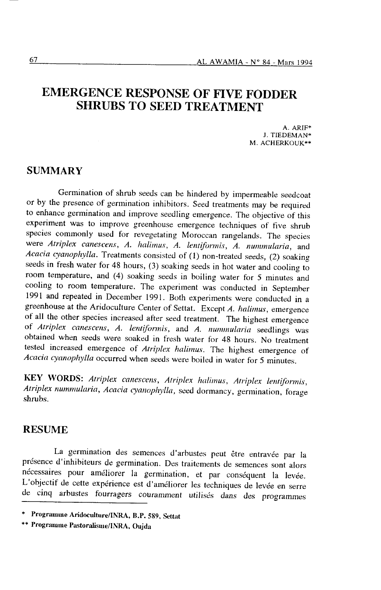# EMERGENCE RESPONSE OF FIVE FODDER SHRUBS TO SEED TREATMENT

A. ARIF\*<br>J. TIEDEMAN\* M. ACHERKOUK\*\*

### **SUMMARY**

Germination of shrub seeds can be hindered by impermeable seedcoat or by the presence of germination inhibitors. Seed treatments may be required to enhance germination and improve seedling emergence. The objective of this experiment was to improve greenhouse emergence techniques of five shrub species comrnonly used for revegetating Moroccan rangelands. The species were Atriplex canescens, A. halimus, A. lentiformis, A. nummularia, and Acacia cyanophylla. Treatments consisted of  $(1)$  non-treated seeds,  $(2)$  soaking seeds in fresh water for 48 hours, (3) soaking seeds in hot water and cooling to room temperature, and (4) soaking seeds in boiling water for 5 minutes and cooling to room temperature. The experiment was conducted in September 1991 and repeated in December 1991. Both experiments were conducted in a greenhouse at the Aridoculture Center of Settat. Except A. halimus, emergence of all the other species increased after seed treatment. The highest emergence of Atriplex canescens, A. lentiformis, and A. nummularia seedlings was obtained when seeds were soaked in fresh water for 48 hours. No treatment tested increased emergence of Atriplex halimus. The highest emergence of Acacia cyanophylla occurred when seeds were boiled in water for 5 minutes.

KEY WORDS: Atriplex canescens, Atriplex halimus, Atriplex lentiformis, Atriplex nummularia, Acacia cyanophylla, seed dormancy, germination, forage shrubs.

### RESUME

La germination des semences d'arbustes peut être entravée par la présence d'inhibiteurs de germination. Des traitements de semences sont alors nécessaires pour améliorer la germination, et par conséquent la levée. L'objectif de cette expérience est d'améliorer les techniques de levée en serre de cinq arbustes fourragers couramment utilisés dans des programmes

<sup>\*</sup> Programme Aridoculture/INRA, B.P. 589, Settat

<sup>\*\*</sup> Programme Pastoralisme/INRA, Oujda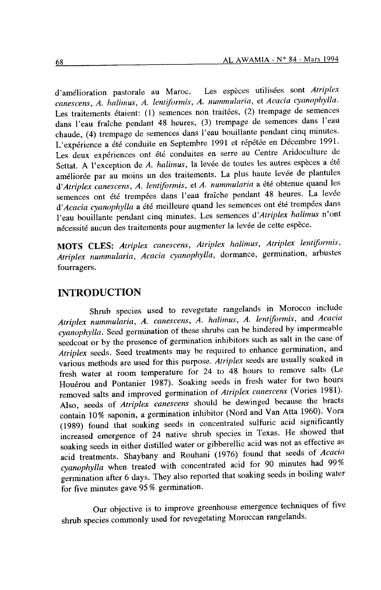d'amélioration pastorale au Maroc. Les espèces utilisées sont Atriplex canescens, A. halimus, A. lentiformis, A. nummularia, et Acacia cyanophylla. Les traitements étaient: (1) semences non traitées, (2) trempage de semences dans I'eau fraîche pendant 48 heures, (3) trempage de semences dans l'eau chaude, (4) trempage de semences dans l'eau bouillante pendant cinq minutes. L'expérience a été conduite en septembre l99l et répétée en Décernbre 1991. Les deux expériences ont été conduites en serre au Centre Aridoculture de Settat. A l'exception de A. halimus, la levée de toutes les autres espèces a été améliorée par au moins un des traitements. La plus haute levée de plantules d'Atriplex canescens, A. lentiformis, et A. nummularia a été obtenue quand les semences ont été trempées dans l'eau fraîche pendant 48 heures. La levée d'Acacia cyanophylla a été meilleure quand les semences ont été trempées dans I'eau bouiilante pendant cinq minutes. Les semences d'Atriplex halimus n'ont nécessité aucun des traitements pour augmenter la levée de cette espèce.

MOTS CLES: Atriplex canescens, Atriplex halimus, Atriplex lentiformis, Atriplex nummularia, Acacia cyanophylla, dormance, germination, arbustes fourragers.

# INTRODUCTION

Shrub species used to revegetate rangelands in Morocco include Atriplex nummularia, A. canescens, A. halimus, A. lentiformis, and Acacia cyanophylla. Seed germination of these shrubs can be hindered by impermeable seedcoat or by the presence of germination inhibitors such as salt in the case of Atriplex seeds. Seed treatments may be required to enhance germination, and various methods are used for this purpose. Atriplex seeds are usually soaked in fresh water at room temperature for 24 to 48 hours to remove salts (Le Houérou and Pontanier 1987). Soaking seeds in fresh water for two hours removed salts and improved germination of Atriplex canescens (Vories 1981). Also, seeds of *Atriplex canescens* should be dewinged because the bracts contain 10% saponin, a germination inhibitor (Nord and van Atta 1960). Vora (1989) found that soaking seeds in concentrated sulfuric acid significantly increased emergence of 24 native shrub species in Texas. He showed that soaking seeds in either distilled water or gibberellic acid was not as effective as acid treatments. Shaybany and Rouhani (1976) found that seeds of Acacia cyanophylla when treated with concentrated acid for 90 minutes had 99% germination after 6 days. They also reported that soaking seeds in boiling water for five minutes gave 95% germination.

Our objective is to improve greenhouse emergence techniques of five shrub species commonly used for revegetating Moroccan rangelands.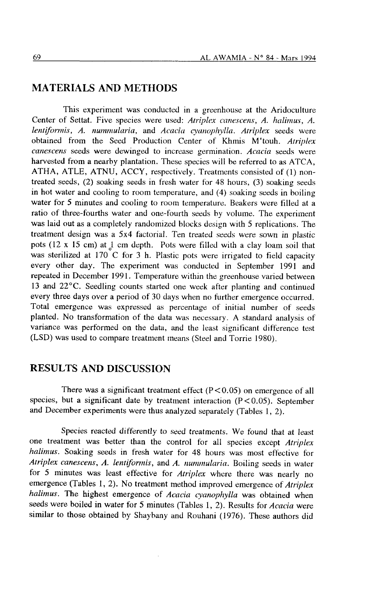## MATERIALS AND METHODS

This experiment was conducted in a greenhouse at the Aridoculture Center of Settat. Five species were used: Atriplex canescens, A. halimus, A. lentiformis, A. nummularia, and Acacia cyanophylla. Atriplex seeds were obtained from the Seed Production Center of Khmis M'touh. Atriplex canescens seeds were dewinged to increase germination. Acacia seeds were harvested from a nearby plantation. These species will be referred to as ATCA, ATHA, ATLE, ATNU, ACCY, respectively. Treatments consisted of (l) nontreated seeds, (2) soaking seeds in fiesh water for 48 hours, (3) soaking seeds in hot water and cooling to room temperature, and (4) soaking seeds in boiling water for 5 minutes and cooling to room temperature. Beakers were filled at a ratio of three-fourths water and one-fourth seeds by volume. The experiment was laid out as a completely randomized blocks design with 5 replications. The treatment design was a 5x4 factorial. Ten treated seeds were sown in plastic pots (12 x 15 cm) at 1 cm depth. Pots were filled with a clay loam soil that was sterilized at 170 C for 3 h. Plastic pots were irrigated to field capacity every other day. The experiment was conducted in September 1991 and repeated in December 1991. Temperature within the greenhouse varied between 13 and 22"C. Seedling counts started one week after planting and continued every three days over a period of 30 days when no further emergence occurred. Total emergence was expressed as percentage of initial number of seeds planted. No transformation of the data was necessary. A standard analysis of variance was performed on the data, and the least significant difference test (LSD) was used to compare treatment means (Steel and Torrie 1980).

### RESULTS AND DISCUSSION

There was a significant treatment effect  $(P<0.05)$  on emergence of all species, but a significant date by treatment interaction  $(P < 0.05)$ . September and December experiments were thus analyzed separately (Tables l, 2).

Species reacted differently to seed treatments. We found that at least one treatment was better than the control for all species except Atriplex halimus. Soaking seeds in fresh water for 48 hours was most effective for Atriplex canescens, A. lentiformis, and A. nummularia. Boiling seeds in water for 5 minutes was least effective for Atriplex where there was nearly no emergence (Tables 1, 2). No treatment method improved emergence of *Atriplex* halimus. The highest emergence of Acacia cyanophylla was obtained when seeds were boiled in water for 5 minutes (Tables 1, 2). Results for Acacia were similar to those obtained by Shaybany and Rouhani (1976). These authors did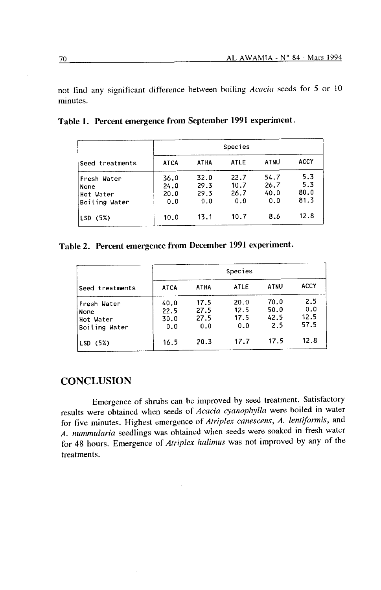not find any significant difference between boiling Acacia seeds for 5 or 10 minutes.

| Seed treatments                                   | Species                     |                             |                             |                             |                            |  |  |
|---------------------------------------------------|-----------------------------|-----------------------------|-----------------------------|-----------------------------|----------------------------|--|--|
|                                                   | <b>ATCA</b>                 | <b>ATHA</b>                 | ATLE                        | ATNU                        | <b>ACCY</b>                |  |  |
| Fresh Water<br>None<br>Hot Water<br>Boiling Water | 36.0<br>24.0<br>20.0<br>0.0 | 32.0<br>29.3<br>29.3<br>0.0 | 22.7<br>10.7<br>26.7<br>0.0 | 54.7<br>26.7<br>40.0<br>0.0 | 5.3<br>5.3<br>80.0<br>81.3 |  |  |
| LSD (5%)                                          | 10.0                        | 13.1                        | 10.7                        | 8.6                         | 12.8                       |  |  |

Table l. Percent emergence from September 1991 experiment.

# Table 2. Percent emergence from December 1991 experiment.

| Seed treatments                                   | Species                     |                             |                             |                             |                            |  |
|---------------------------------------------------|-----------------------------|-----------------------------|-----------------------------|-----------------------------|----------------------------|--|
|                                                   | <b>ATCA</b>                 | ATHA                        | <b>ATLE</b>                 | <b>ATNU</b>                 | <b>ACCY</b>                |  |
| Fresh Water<br>None<br>Hot Water<br>Boiling Water | 40.0<br>22.5<br>30.0<br>0.0 | 17.5<br>27.5<br>27.5<br>0.0 | 20.0<br>12.5<br>17.5<br>0.0 | 70.0<br>50.0<br>42.5<br>2.5 | 2.5<br>0.0<br>12.5<br>57.5 |  |
| LSD (5%)                                          | 16.5                        | 20.3                        | 17.7                        | 17.5                        | 12.8                       |  |

# **CONCLUSION**

Emergence of shrubs can be improved by seed treatment. Satisfactory results were obtained when seeds of Acacia cyanophylla were boiled in water for five minutes. Highest emergence of Atriplex canescens, A. lentiformis, and A. nummularia seedlings was obtained when seeds were soaked in fresh water for 48 hours. Emergence of Atriplex halimus was not improved by any of the treatments.